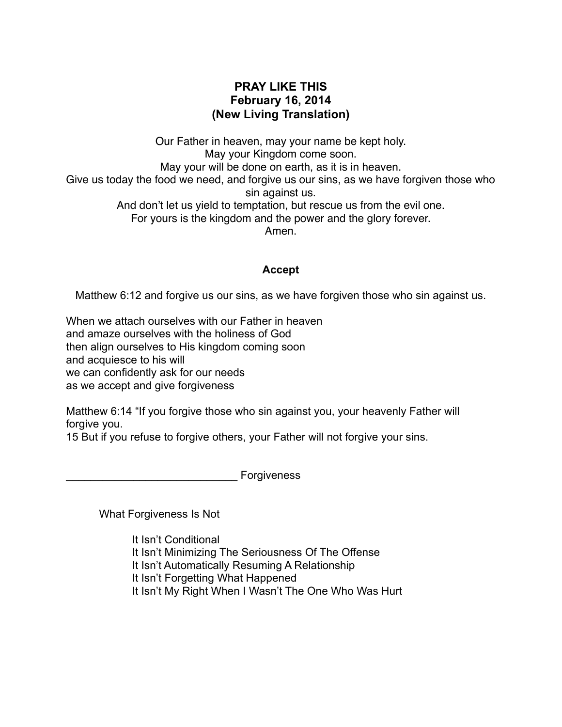## **PRAY LIKE THIS February 16, 2014 (New Living Translation)**

Our Father in heaven, may your name be kept holy. May your Kingdom come soon. May your will be done on earth, as it is in heaven. Give us today the food we need, and forgive us our sins, as we have forgiven those who sin against us. And don't let us yield to temptation, but rescue us from the evil one. For yours is the kingdom and the power and the glory forever. Amen.

## **Accept**

Matthew 6:12 and forgive us our sins, as we have forgiven those who sin against us.

When we attach ourselves with our Father in heaven and amaze ourselves with the holiness of God then align ourselves to His kingdom coming soon and acquiesce to his will we can confidently ask for our needs as we accept and give forgiveness

Matthew 6:14 "If you forgive those who sin against you, your heavenly Father will forgive you.

15 But if you refuse to forgive others, your Father will not forgive your sins.

**Forgiveness** 

What Forgiveness Is Not

 It Isn't Conditional It Isn't Minimizing The Seriousness Of The Offense It Isn't Automatically Resuming A Relationship It Isn't Forgetting What Happened It Isn't My Right When I Wasn't The One Who Was Hurt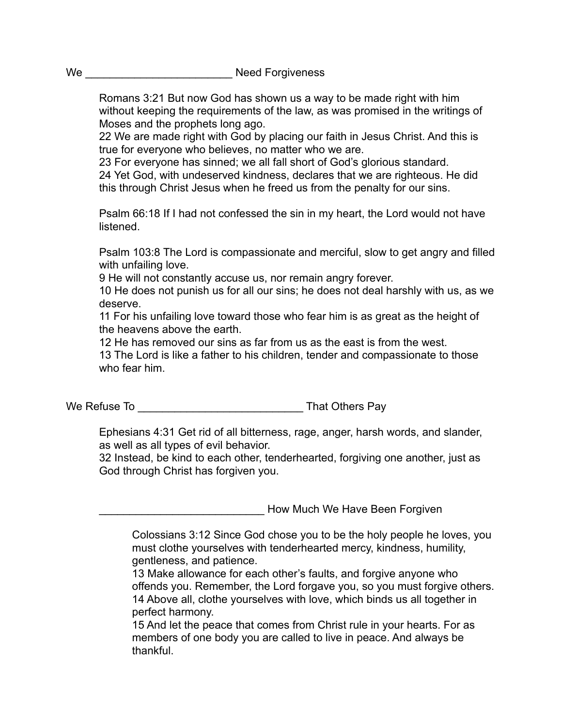Romans 3:21 But now God has shown us a way to be made right with him without keeping the requirements of the law, as was promised in the writings of Moses and the prophets long ago.

 22 We are made right with God by placing our faith in Jesus Christ. And this is true for everyone who believes, no matter who we are.

 23 For everyone has sinned; we all fall short of God's glorious standard. 24 Yet God, with undeserved kindness, declares that we are righteous. He did this through Christ Jesus when he freed us from the penalty for our sins.

 Psalm 66:18 If I had not confessed the sin in my heart, the Lord would not have listened.

 Psalm 103:8 The Lord is compassionate and merciful, slow to get angry and filled with unfailing love.

9 He will not constantly accuse us, nor remain angry forever.

 10 He does not punish us for all our sins; he does not deal harshly with us, as we deserve.

 11 For his unfailing love toward those who fear him is as great as the height of the heavens above the earth.

12 He has removed our sins as far from us as the east is from the west.

 13 The Lord is like a father to his children, tender and compassionate to those who fear him.

We Refuse To \_\_\_\_\_\_\_\_\_\_\_\_\_\_\_\_\_\_\_\_\_\_\_\_\_\_\_ That Others Pay

 Ephesians 4:31 Get rid of all bitterness, rage, anger, harsh words, and slander, as well as all types of evil behavior.

 32 Instead, be kind to each other, tenderhearted, forgiving one another, just as God through Christ has forgiven you.

How Much We Have Been Forgiven

 Colossians 3:12 Since God chose you to be the holy people he loves, you must clothe yourselves with tenderhearted mercy, kindness, humility, gentleness, and patience.

 13 Make allowance for each other's faults, and forgive anyone who offends you. Remember, the Lord forgave you, so you must forgive others. 14 Above all, clothe yourselves with love, which binds us all together in perfect harmony.

 15 And let the peace that comes from Christ rule in your hearts. For as members of one body you are called to live in peace. And always be thankful.